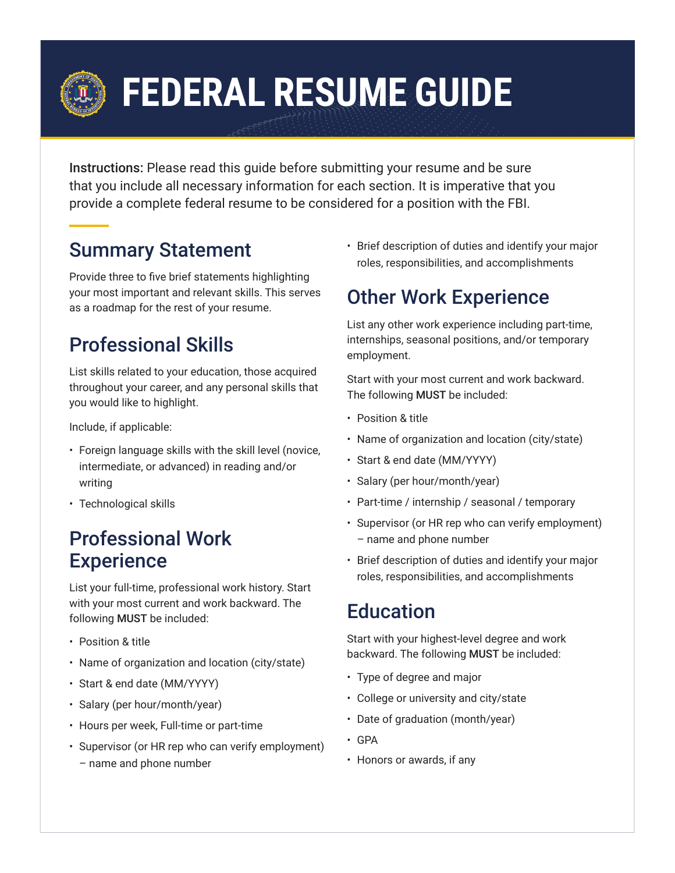# **FEDERAL RESUME GUIDE**

Instructions: Please read this guide before submitting your resume and be sure that you include all necessary information for each section. It is imperative that you provide a complete federal resume to be considered for a position with the FBI.

# Summary Statement

Provide three to five brief statements highlighting your most important and relevant skills. This serves as a roadmap for the rest of your resume.

# Professional Skills

List skills related to your education, those acquired throughout your career, and any personal skills that you would like to highlight.

Include, if applicable:

- Foreign language skills with the skill level (novice, intermediate, or advanced) in reading and/or writing
- Technological skills

#### Professional Work **Experience**

List your full-time, professional work history. Start with your most current and work backward. The following MUST be included:

- Position & title
- Name of organization and location (city/state)
- Start & end date (MM/YYYY)
- Salary (per hour/month/year)
- Hours per week, Full-time or part-time
- Supervisor (or HR rep who can verify employment) – name and phone number

• Brief description of duties and identify your major roles, responsibilities, and accomplishments

# Other Work Experience

List any other work experience including part-time, internships, seasonal positions, and/or temporary employment.

Start with your most current and work backward. The following MUST be included:

- Position & title
- Name of organization and location (city/state)
- Start & end date (MM/YYYY)
- Salary (per hour/month/year)
- Part-time / internship / seasonal / temporary
- Supervisor (or HR rep who can verify employment) – name and phone number
- Brief description of duties and identify your major roles, responsibilities, and accomplishments

#### **Education**

Start with your highest-level degree and work backward. The following MUST be included:

- Type of degree and major
- College or university and city/state
- Date of graduation (month/year)
- GPA
- Honors or awards, if any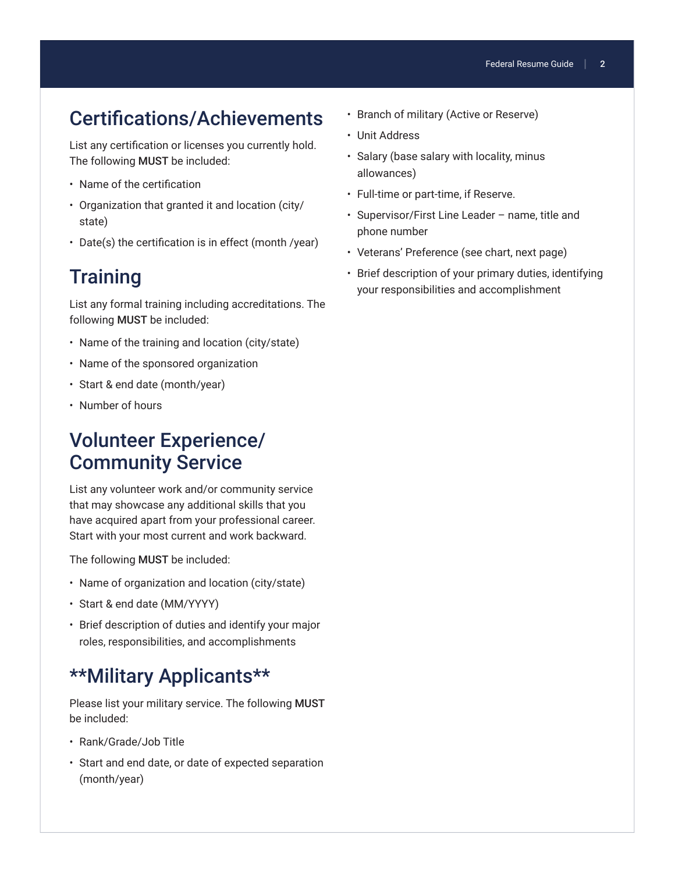### Certifications/Achievements

List any certification or licenses you currently hold. The following MUST be included:

- Name of the certification
- Organization that granted it and location (city/ state)
- Date(s) the certification is in effect (month /year)

#### **Training**

List any formal training including accreditations. The following MUST be included:

- Name of the training and location (city/state)
- Name of the sponsored organization
- Start & end date (month/year)
- Number of hours

#### Volunteer Experience/ Community Service

List any volunteer work and/or community service that may showcase any additional skills that you have acquired apart from your professional career. Start with your most current and work backward.

The following MUST be included:

- Name of organization and location (city/state)
- Start & end date (MM/YYYY)
- Brief description of duties and identify your major roles, responsibilities, and accomplishments

#### \*\*Military Applicants\*\*

Please list your military service. The following MUST be included:

- Rank/Grade/Job Title
- Start and end date, or date of expected separation (month/year)
- Branch of military (Active or Reserve)
- Unit Address
- Salary (base salary with locality, minus allowances)
- Full-time or part-time, if Reserve.
- Supervisor/First Line Leader name, title and phone number
- Veterans' Preference (see chart, next page)
- Brief description of your primary duties, identifying your responsibilities and accomplishment